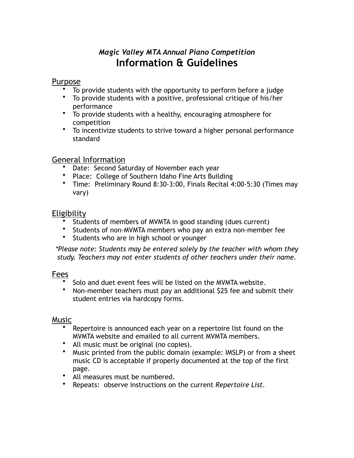# *Magic Valley MTA Annual Piano Competition*  **Information & Guidelines**

#### **Purpose**

- To provide students with the opportunity to perform before a judge
- To provide students with a positive, professional critique of his/her performance
- To provide students with a healthy, encouraging atmosphere for competition
- To incentivize students to strive toward a higher personal performance standard

#### General Information

- Date: Second Saturday of November each year
- Place: College of Southern Idaho Fine Arts Building
- Time: Preliminary Round 8:30-3:00, Finals Recital 4:00-5:30 (Times may vary)

## Eligibility

- Students of members of MVMTA in good standing (dues current)
- Students of non-MVMTA members who pay an extra non-member fee
- Students who are in high school or younger

*\*Please note: Students may be entered solely by the teacher with whom they study. Teachers may not enter students of other teachers under their name.*

#### **Fees**

- Solo and duet event fees will be listed on the MVMTA website.
- Non-member teachers must pay an additional \$25 fee and submit their student entries via hardcopy forms.

#### **Music**

- Repertoire is announced each year on a repertoire list found on the MVMTA website and emailed to all current MVMTA members.
- All music must be original (no copies).
- Music printed from the public domain (example: IMSLP) or from a sheet music CD is acceptable if properly documented at the top of the first page.
- All measures must be numbered.
- Repeats: observe instructions on the current *Repertoire List*.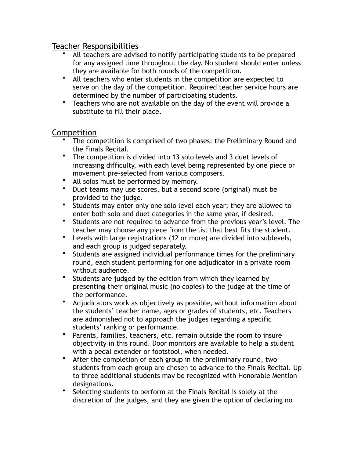#### Teacher Responsibilities

- All teachers are advised to notify participating students to be prepared for any assigned time throughout the day. No student should enter unless they are available for both rounds of the competition.
- All teachers who enter students in the competition are expected to serve on the day of the competition. Required teacher service hours are determined by the number of participating students.
- Teachers who are not available on the day of the event will provide a substitute to fill their place.

# **Competition**

- The competition is comprised of two phases: the Preliminary Round and the Finals Recital.
- The competition is divided into 13 solo levels and 3 duet levels of increasing difficulty, with each level being represented by one piece or movement pre-selected from various composers.
- All solos must be performed by memory.
- Duet teams may use scores, but a second score (original) must be provided to the judge.
- Students may enter only one solo level each year; they are allowed to enter both solo and duet categories in the same year, if desired.
- Students are not required to advance from the previous year's level. The teacher may choose any piece from the list that best fits the student.
- Levels with large registrations (12 or more) are divided into sublevels, and each group is judged separately.
- Students are assigned individual performance times for the preliminary round, each student performing for one adjudicator in a private room without audience.
- Students are judged by the edition from which they learned by presenting their original music (no copies) to the judge at the time of the performance.
- Adjudicators work as objectively as possible, without information about the students' teacher name, ages or grades of students, etc. Teachers are admonished not to approach the judges regarding a specific students' ranking or performance.
- Parents, families, teachers, etc. remain outside the room to insure objectivity in this round. Door monitors are available to help a student with a pedal extender or footstool, when needed.
- After the completion of each group in the preliminary round, two students from each group are chosen to advance to the Finals Recital. Up to three additional students may be recognized with Honorable Mention designations.
- Selecting students to perform at the Finals Recital is solely at the discretion of the judges, and they are given the option of declaring no